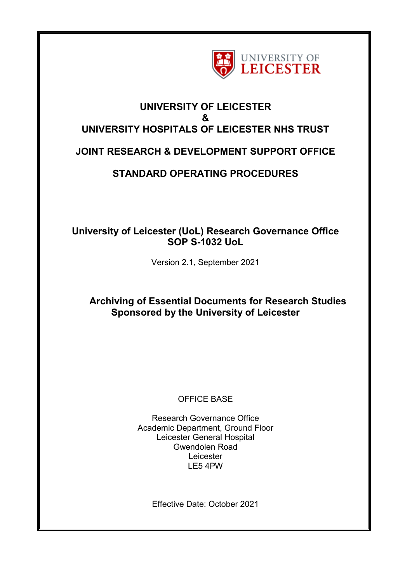

## **UNIVERSITY OF LEICESTER & UNIVERSITY HOSPITALS OF LEICESTER NHS TRUST**

# **JOINT RESEARCH & DEVELOPMENT SUPPORT OFFICE**

# **STANDARD OPERATING PROCEDURES**

## **University of Leicester (UoL) Research Governance Office SOP S-1032 UoL**

Version 2.1, September 2021

## **Archiving of Essential Documents for Research Studies Sponsored by the University of Leicester**

## OFFICE BASE

Research Governance Office Academic Department, Ground Floor Leicester General Hospital Gwendolen Road Leicester LE5 4PW

Effective Date: October 2021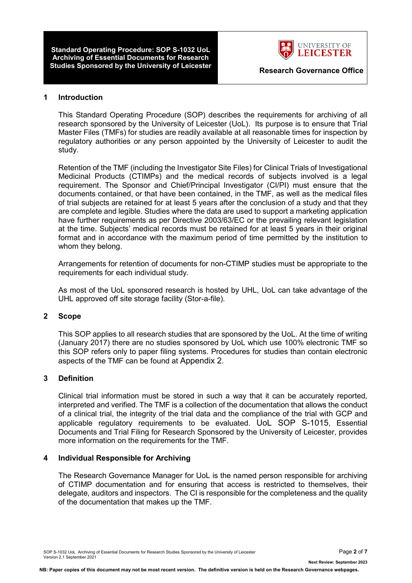**Standard Operating Procedure: SOP S-1032 UoL Archiving of Essential Documents for Research Studies Sponsored by the University of Leicester <b>Research Governance Office** 



#### **1 Introduction**

This Standard Operating Procedure (SOP) describes the requirements for archiving of all research sponsored by the University of Leicester (UoL). Its purpose is to ensure that Trial Master Files (TMFs) for studies are readily available at all reasonable times for inspection by regulatory authorities or any person appointed by the University of Leicester to audit the study.

Retention of the TMF (including the Investigator Site Files) for Clinical Trials of Investigational Medicinal Products (CTIMPs) and the medical records of subjects involved is a legal requirement. The Sponsor and Chief/Principal Investigator (CI/PI) must ensure that the documents contained, or that have been contained, in the TMF, as well as the medical files of trial subjects are retained for at least 5 years after the conclusion of a study and that they are complete and legible. Studies where the data are used to support a marketing application have further requirements as per Directive 2003/63/EC or the prevailing relevant legislation at the time. Subjects' medical records must be retained for at least 5 years in their original format and in accordance with the maximum period of time permitted by the institution to whom they belong.

Arrangements for retention of documents for non-CTIMP studies must be appropriate to the requirements for each individual study.

As most of the UoL sponsored research is hosted by UHL, UoL can take advantage of the UHL approved off site storage facility (Stor-a-file).

#### **2 Scope**

This SOP applies to all research studies that are sponsored by the UoL. At the time of writing (January 2017) there are no studies sponsored by UoL which use 100% electronic TMF so this SOP refers only to paper filing systems. Procedures for studies than contain electronic aspects of the TMF can be found at Appendix 2.

#### **3 Definition**

Clinical trial information must be stored in such a way that it can be accurately reported, interpreted and verified. The TMF is a collection of the documentation that allows the conduct of a clinical trial, the integrity of the trial data and the compliance of the trial with GCP and applicable regulatory requirements to be evaluated. UoL SOP S-1015, Essential Documents and Trial Filing for Research Sponsored by the University of Leicester, provides more information on the requirements for the TMF.

#### **4 Individual Responsible for Archiving**

The Research Governance Manager for UoL is the named person responsible for archiving of CTIMP documentation and for ensuring that access is restricted to themselves, their delegate, auditors and inspectors. The CI is responsible for the completeness and the quality of the documentation that makes up the TMF.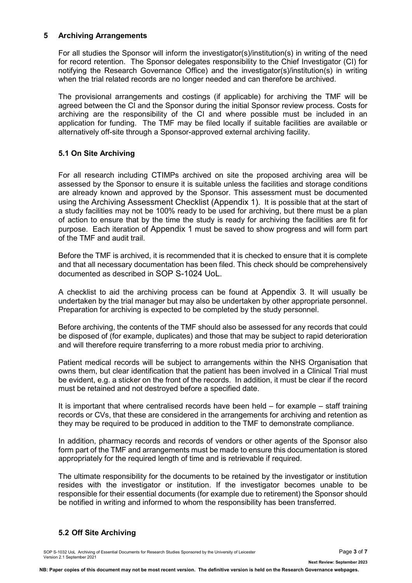### **5 Archiving Arrangements**

For all studies the Sponsor will inform the investigator(s)/institution(s) in writing of the need for record retention. The Sponsor delegates responsibility to the Chief Investigator (CI) for notifying the Research Governance Office) and the investigator(s)/institution(s) in writing when the trial related records are no longer needed and can therefore be archived.

The provisional arrangements and costings (if applicable) for archiving the TMF will be agreed between the CI and the Sponsor during the initial Sponsor review process. Costs for archiving are the responsibility of the CI and where possible must be included in an application for funding. The TMF may be filed locally if suitable facilities are available or alternatively off-site through a Sponsor-approved external archiving facility.

### **5.1 On Site Archiving**

For all research including CTIMPs archived on site the proposed archiving area will be assessed by the Sponsor to ensure it is suitable unless the facilities and storage conditions are already known and approved by the Sponsor. This assessment must be documented using the Archiving Assessment Checklist (Appendix 1). It is possible that at the start of a study facilities may not be 100% ready to be used for archiving, but there must be a plan of action to ensure that by the time the study is ready for archiving the facilities are fit for purpose. Each iteration of Appendix 1 must be saved to show progress and will form part of the TMF and audit trail.

Before the TMF is archived, it is recommended that it is checked to ensure that it is complete and that all necessary documentation has been filed. This check should be comprehensively documented as described in SOP S-1024 UoL.

A checklist to aid the archiving process can be found at Appendix 3. It will usually be undertaken by the trial manager but may also be undertaken by other appropriate personnel. Preparation for archiving is expected to be completed by the study personnel.

Before archiving, the contents of the TMF should also be assessed for any records that could be disposed of (for example, duplicates) and those that may be subject to rapid deterioration and will therefore require transferring to a more robust media prior to archiving.

Patient medical records will be subject to arrangements within the NHS Organisation that owns them, but clear identification that the patient has been involved in a Clinical Trial must be evident, e.g. a sticker on the front of the records. In addition, it must be clear if the record must be retained and not destroyed before a specified date.

It is important that where centralised records have been held – for example – staff training records or CVs, that these are considered in the arrangements for archiving and retention as they may be required to be produced in addition to the TMF to demonstrate compliance.

In addition, pharmacy records and records of vendors or other agents of the Sponsor also form part of the TMF and arrangements must be made to ensure this documentation is stored appropriately for the required length of time and is retrievable if required.

The ultimate responsibility for the documents to be retained by the investigator or institution resides with the investigator or institution. If the investigator becomes unable to be responsible for their essential documents (for example due to retirement) the Sponsor should be notified in writing and informed to whom the responsibility has been transferred.

### **5.2 Off Site Archiving**

SOP S-1032 UoL Archiving of Essential Documents for Research Studies Sponsored by the University of Leicester Page **3** of **7** Version 2.1 September 2021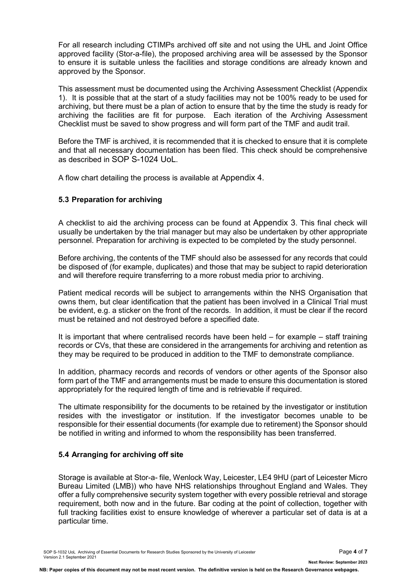For all research including CTIMPs archived off site and not using the UHL and Joint Office approved facility (Stor-a-file), the proposed archiving area will be assessed by the Sponsor to ensure it is suitable unless the facilities and storage conditions are already known and approved by the Sponsor.

This assessment must be documented using the Archiving Assessment Checklist (Appendix 1). It is possible that at the start of a study facilities may not be 100% ready to be used for archiving, but there must be a plan of action to ensure that by the time the study is ready for archiving the facilities are fit for purpose. Each iteration of the Archiving Assessment Checklist must be saved to show progress and will form part of the TMF and audit trail.

Before the TMF is archived, it is recommended that it is checked to ensure that it is complete and that all necessary documentation has been filed. This check should be comprehensive as described in SOP S-1024 UoL.

A flow chart detailing the process is available at Appendix 4.

### **5.3 Preparation for archiving**

A checklist to aid the archiving process can be found at Appendix 3. This final check will usually be undertaken by the trial manager but may also be undertaken by other appropriate personnel. Preparation for archiving is expected to be completed by the study personnel.

Before archiving, the contents of the TMF should also be assessed for any records that could be disposed of (for example, duplicates) and those that may be subject to rapid deterioration and will therefore require transferring to a more robust media prior to archiving.

Patient medical records will be subject to arrangements within the NHS Organisation that owns them, but clear identification that the patient has been involved in a Clinical Trial must be evident, e.g. a sticker on the front of the records. In addition, it must be clear if the record must be retained and not destroyed before a specified date.

It is important that where centralised records have been held  $-$  for example  $-$  staff training records or CVs, that these are considered in the arrangements for archiving and retention as they may be required to be produced in addition to the TMF to demonstrate compliance.

In addition, pharmacy records and records of vendors or other agents of the Sponsor also form part of the TMF and arrangements must be made to ensure this documentation is stored appropriately for the required length of time and is retrievable if required.

The ultimate responsibility for the documents to be retained by the investigator or institution resides with the investigator or institution. If the investigator becomes unable to be responsible for their essential documents (for example due to retirement) the Sponsor should be notified in writing and informed to whom the responsibility has been transferred.

### **5.4 Arranging for archiving off site**

Storage is available at Stor-a- file, Wenlock Way, Leicester, LE4 9HU (part of Leicester Micro Bureau Limited (LMB)) who have NHS relationships throughout England and Wales. They offer a fully comprehensive security system together with every possible retrieval and storage requirement, both now and in the future. Bar coding at the point of collection, together with full tracking facilities exist to ensure knowledge of wherever a particular set of data is at a particular time.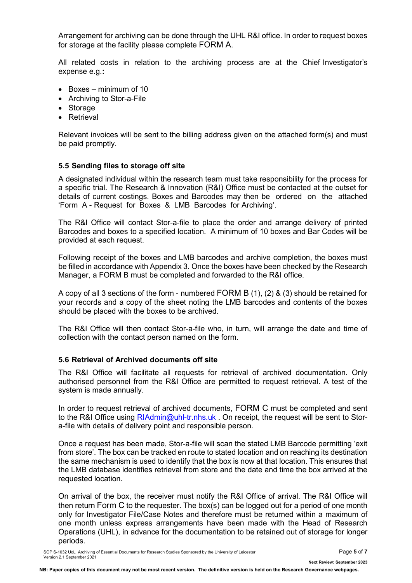Arrangement for archiving can be done through the UHL R&I office. In order to request boxes for storage at the facility please complete FORM A.

All related costs in relation to the archiving process are at the Chief Investigator's expense e.g.**:**

- Boxes minimum of 10
- Archiving to Stor-a-File
- Storage
- Retrieval

Relevant invoices will be sent to the billing address given on the attached form(s) and must be paid promptly.

#### **5.5 Sending files to storage off site**

A designated individual within the research team must take responsibility for the process for a specific trial. The Research & Innovation (R&I) Office must be contacted at the outset for details of current costings. Boxes and Barcodes may then be ordered on the attached 'Form A - Request for Boxes & LMB Barcodes for Archiving'.

The R&I Office will contact Stor-a-file to place the order and arrange delivery of printed Barcodes and boxes to a specified location. A minimum of 10 boxes and Bar Codes will be provided at each request.

Following receipt of the boxes and LMB barcodes and archive completion, the boxes must be filled in accordance with Appendix 3. Once the boxes have been checked by the Research Manager, a FORM B must be completed and forwarded to the R&I office.

A copy of all 3 sections of the form - numbered FORM B (1), (2) & (3) should be retained for your records and a copy of the sheet noting the LMB barcodes and contents of the boxes should be placed with the boxes to be archived.

The R&I Office will then contact Stor-a-file who, in turn, will arrange the date and time of collection with the contact person named on the form.

#### **5.6 Retrieval of Archived documents off site**

The R&I Office will facilitate all requests for retrieval of archived documentation. Only authorised personnel from the R&I Office are permitted to request retrieval. A test of the system is made annually.

In order to request retrieval of archived documents, FORM C must be completed and sent to the R&I Office using RIAdmin@uhl-tr.nhs.uk . On receipt, the request will be sent to Stora-file with details of delivery point and responsible person.

Once a request has been made, Stor-a-file will scan the stated LMB Barcode permitting 'exit from store'. The box can be tracked en route to stated location and on reaching its destination the same mechanism is used to identify that the box is now at that location. This ensures that the LMB database identifies retrieval from store and the date and time the box arrived at the requested location.

On arrival of the box, the receiver must notify the R&I Office of arrival. The R&I Office will then return Form C to the requester. The box(s) can be logged out for a period of one month only for Investigator File/Case Notes and therefore must be returned within a maximum of one month unless express arrangements have been made with the Head of Research Operations (UHL), in advance for the documentation to be retained out of storage for longer periods.

**NB: Paper copies of this document may not be most recent version. The definitive version is held on the Research Governance webpages.**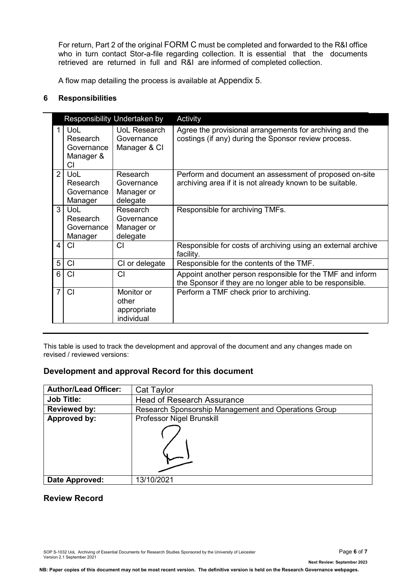For return, Part 2 of the original FORM C must be completed and forwarded to the R&I office who in turn contact Stor-a-file regarding collection. It is essential that the documents retrieved are returned in full and R&I are informed of completed collection.

A flow map detailing the process is available at Appendix 5.

### **6 Responsibilities**

|                |                                                         | Responsibility Undertaken by                     | Activity                                                                                                               |  |
|----------------|---------------------------------------------------------|--------------------------------------------------|------------------------------------------------------------------------------------------------------------------------|--|
|                | <b>UoL</b><br>Research<br>Governance<br>Manager &<br>СI | UoL Research<br>Governance<br>Manager & CI       | Agree the provisional arrangements for archiving and the<br>costings (if any) during the Sponsor review process.       |  |
| 2 <sup>1</sup> | UoL<br>Research<br>Governance<br>Manager                | Research<br>Governance<br>Manager or<br>delegate | Perform and document an assessment of proposed on-site<br>archiving area if it is not already known to be suitable.    |  |
| 3 <sup>1</sup> | <b>UoL</b><br>Research<br>Governance<br>Manager         | Research<br>Governance<br>Manager or<br>delegate | Responsible for archiving TMFs.                                                                                        |  |
| 4 <sup>1</sup> | <b>CI</b>                                               | СI                                               | Responsible for costs of archiving using an external archive<br>facility.                                              |  |
| 5              | CI                                                      | CI or delegate                                   | Responsible for the contents of the TMF.                                                                               |  |
| 6              | C <sub>l</sub>                                          | CI                                               | Appoint another person responsible for the TMF and inform<br>the Sponsor if they are no longer able to be responsible. |  |
| $\overline{7}$ | <b>CI</b>                                               | Monitor or<br>other<br>appropriate<br>individual | Perform a TMF check prior to archiving.                                                                                |  |

This table is used to track the development and approval of the document and any changes made on revised / reviewed versions:

### **Development and approval Record for this document**

| <b>Author/Lead Officer:</b> | Cat Taylor                                           |
|-----------------------------|------------------------------------------------------|
| <b>Job Title:</b>           | <b>Head of Research Assurance</b>                    |
| <b>Reviewed by:</b>         | Research Sponsorship Management and Operations Group |
| Approved by:                | Professor Nigel Brunskill                            |
|                             |                                                      |
| Date Approved:              | 13/10/2021                                           |

### **Review Record**